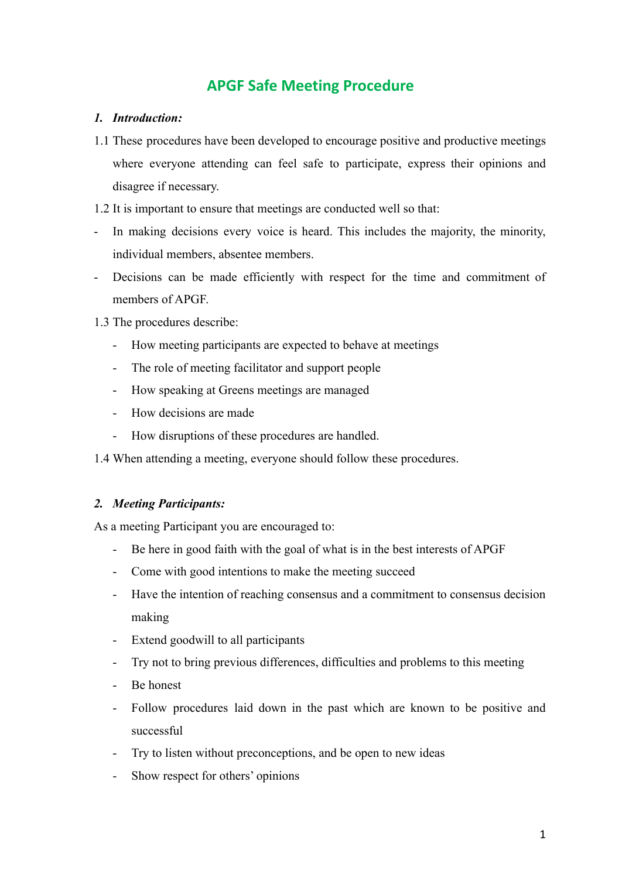# **APGF Safe Meeting Procedure**

### *1. Introduction:*

- 1.1 These procedures have been developed to encourage positive and productive meetings where everyone attending can feel safe to participate, express their opinions and disagree if necessary.
- 1.2 It is important to ensure that meetings are conducted well so that:
- In making decisions every voice is heard. This includes the majority, the minority, individual members, absentee members.
- Decisions can be made efficiently with respect for the time and commitment of members of APGF.
- 1.3 The procedures describe:
	- How meeting participants are expected to behave at meetings
	- The role of meeting facilitator and support people
	- How speaking at Greens meetings are managed
	- How decisions are made
	- How disruptions of these procedures are handled.
- 1.4 When attending a meeting, everyone should follow these procedures.

#### *2. Meeting Participants:*

As a meeting Participant you are encouraged to:

- Be here in good faith with the goal of what is in the best interests of APGF
- Come with good intentions to make the meeting succeed
- Have the intention of reaching consensus and a commitment to consensus decision making
- Extend goodwill to all participants
- Try not to bring previous differences, difficulties and problems to this meeting
- Be honest
- Follow procedures laid down in the past which are known to be positive and successful
- Try to listen without preconceptions, and be open to new ideas
- Show respect for others' opinions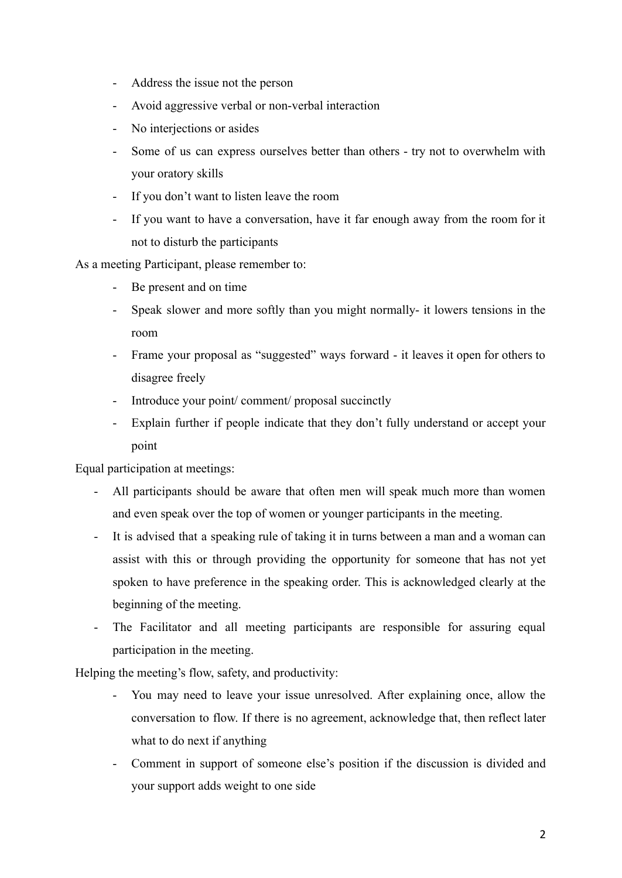- Address the issue not the person
- Avoid aggressive verbal or non-verbal interaction
- No interjections or asides
- Some of us can express ourselves better than others try not to overwhelm with your oratory skills
- If you don't want to listen leave the room
- If you want to have a conversation, have it far enough away from the room for it not to disturb the participants

As a meeting Participant, please remember to:

- Be present and on time
- Speak slower and more softly than you might normally- it lowers tensions in the room
- Frame your proposal as "suggested" ways forward it leaves it open for others to disagree freely
- Introduce your point/ comment/ proposal succinctly
- Explain further if people indicate that they don't fully understand or accept your point

Equal participation at meetings:

- All participants should be aware that often men will speak much more than women and even speak over the top of women or younger participants in the meeting.
- It is advised that a speaking rule of taking it in turns between a man and a woman can assist with this or through providing the opportunity for someone that has not yet spoken to have preference in the speaking order. This is acknowledged clearly at the beginning of the meeting.
- The Facilitator and all meeting participants are responsible for assuring equal participation in the meeting.

Helping the meeting's flow, safety, and productivity:

- You may need to leave your issue unresolved. After explaining once, allow the conversation to flow. If there is no agreement, acknowledge that, then reflect later what to do next if anything
- Comment in support of someone else's position if the discussion is divided and your support adds weight to one side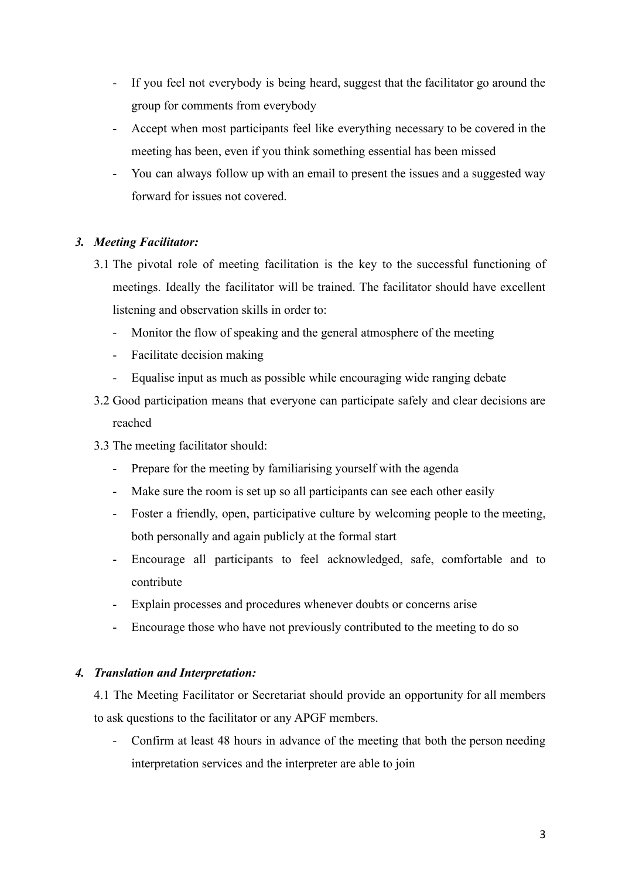- If you feel not everybody is being heard, suggest that the facilitator go around the group for comments from everybody
- Accept when most participants feel like everything necessary to be covered in the meeting has been, even if you think something essential has been missed
- You can always follow up with an email to present the issues and a suggested way forward for issues not covered.

## *3. Meeting Facilitator:*

- 3.1 The pivotal role of meeting facilitation is the key to the successful functioning of meetings. Ideally the facilitator will be trained. The facilitator should have excellent listening and observation skills in order to:
	- Monitor the flow of speaking and the general atmosphere of the meeting
	- Facilitate decision making
	- Equalise input as much as possible while encouraging wide ranging debate
- 3.2 Good participation means that everyone can participate safely and clear decisions are reached
- 3.3 The meeting facilitator should:
	- Prepare for the meeting by familiarising yourself with the agenda
	- Make sure the room is set up so all participants can see each other easily
	- Foster a friendly, open, participative culture by welcoming people to the meeting, both personally and again publicly at the formal start
	- Encourage all participants to feel acknowledged, safe, comfortable and to contribute
	- Explain processes and procedures whenever doubts or concerns arise
	- Encourage those who have not previously contributed to the meeting to do so

#### *4. Translation and Interpretation:*

4.1 The Meeting Facilitator or Secretariat should provide an opportunity for all members to ask questions to the facilitator or any APGF members.

- Confirm at least 48 hours in advance of the meeting that both the person needing interpretation services and the interpreter are able to join